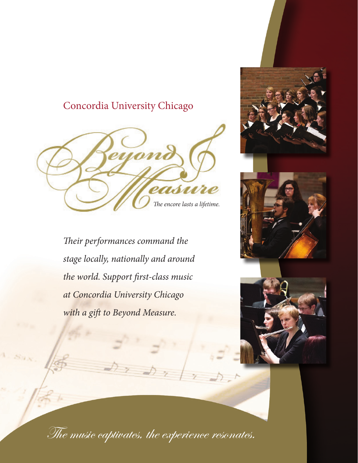# Concordia University Chicago



*Their performances command the stage locally, nationally and around the world. Support first-class music at Concordia University Chicago with a gift to Beyond Measure.*







The music captivates, the experience resonates.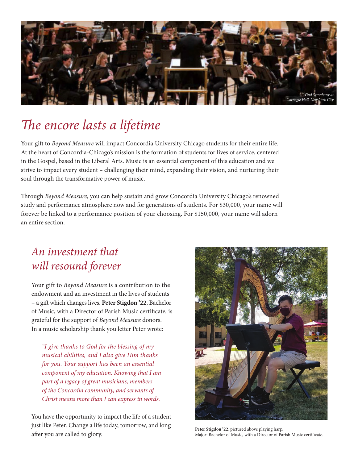

# *The encore lasts a lifetime*

Your gift to *Beyond Measure* will impact Concordia University Chicago students for their entire life. At the heart of Concordia-Chicago's mission is the formation of students for lives of service, centered in the Gospel, based in the Liberal Arts. Music is an essential component of this education and we strive to impact every student – challenging their mind, expanding their vision, and nurturing their soul through the transformative power of music.

Through *Beyond Measure*, you can help sustain and grow Concordia University Chicago's renowned study and performance atmosphere now and for generations of students. For \$30,000, your name will forever be linked to a performance position of your choosing. For \$150,000, your name will adorn an entire section.

# *An investment that will resound forever*

Your gift to *Beyond Measure* is a contribution to the endowment and an investment in the lives of students – a gift which changes lives. **Peter Stigdon '22**, Bachelor of Music, with a Director of Parish Music certificate, is grateful for the support of *Beyond Measure* donors. In a music scholarship thank you letter Peter wrote:

*"I give thanks to God for the blessing of my musical abilities, and I also give Him thanks for you. Your support has been an essential component of my education. Knowing that I am part of a legacy of great musicians, members of the Concordia community, and servants of Christ means more than I can express in words.* 

You have the opportunity to impact the life of a student just like Peter. Change a life today, tomorrow, and long after you are called to glory.



**Peter Stigdon '22**, pictured above playing harp. Major: Bachelor of Music, with a Director of Parish Music certificate.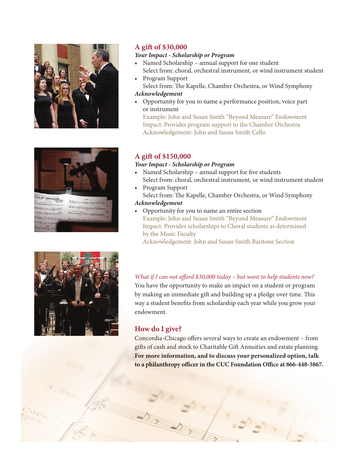



#### **A gift of \$30,000**

#### *Your Impact - Scholarship or Program*

- Named Scholarship annual support for one student Select from: choral, orchestral instrument, or wind instrument student
- Program Support Select from: The Kapelle, Chamber Orchestra, or Wind Symphony

#### *Acknowledgement*

• Opportunity for you to name a performance position, voice part or instrument

Example: John and Susan Smith "Beyond Measure" Endowment Impact: Provides program support to the Chamber Orchestra Acknowledgement: John and Susan Smith Cello

#### **A gift of \$150,000**

#### *Your Impact - Scholarship or Program*

- Named Scholarship annual support for five students Select from: choral, orchestral instrument, or wind instrument student
- Program Support Select from: The Kapelle, Chamber Orchestra, or Wind Symphony

#### *Acknowledgement*

• Opportunity for you to name an entire section Example: John and Susan Smith "Beyond Measure" Endowment Impact: Provides scholarships to Choral students as determined by the Music Faculty

Acknowledgement: John and Susan Smith Baritone Section



#### **How do I give?**

Concordia-Chicago offers several ways to create an endowment – from gifts of cash and stock to Charitable Gift Annuities and estate planning. **For more information, and to discuss your personalized option, talk to a philanthropy officer in the CUC Foundation Office at 866-448-3867.**